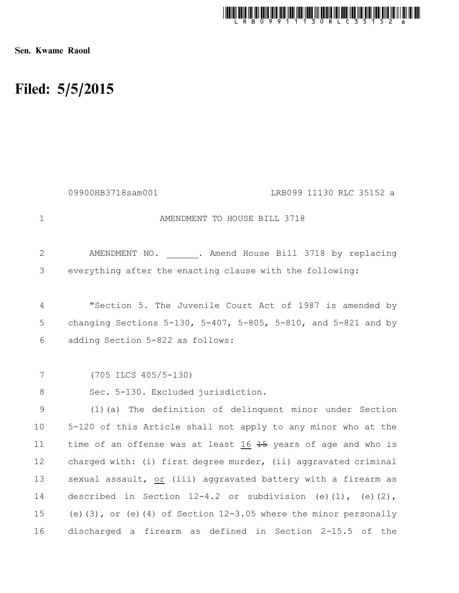

Sen. Kwame Raoul

## Filed: 5/5/2015

|                | 09900HB3718sam001<br>LRB099 11130 RLC 35152 a                          |
|----------------|------------------------------------------------------------------------|
| $\mathbf 1$    | AMENDMENT TO HOUSE BILL 3718                                           |
| $\mathbf{2}$   | AMENDMENT NO. . Amend House Bill 3718 by replacing                     |
| 3              | everything after the enacting clause with the following:               |
| $\overline{4}$ | "Section 5. The Juvenile Court Act of 1987 is amended by               |
| 5              | changing Sections 5-130, 5-407, 5-805, 5-810, and 5-821 and by         |
| 6              | adding Section 5-822 as follows:                                       |
|                |                                                                        |
| 7              | $(705$ ILCS $405/5-130)$                                               |
| 8              | Sec. 5-130. Excluded jurisdiction.                                     |
| 9              | (1) (a) The definition of delinquent minor under Section               |
| 10             | 5-120 of this Article shall not apply to any minor who at the          |
| 11             | time of an offense was at least 16 45 years of age and who is          |
| 12             | charged with: (i) first degree murder, (ii) aggravated criminal        |
| 13             | sexual assault, or (iii) aggravated battery with a firearm as          |
| 14             | described in Section $12-4.2$ or subdivision (e)(1), (e)(2),           |
| 15             | (e) $(3)$ , or (e) $(4)$ of Section 12-3.05 where the minor personally |
| 16             | discharged a firearm as defined in Section 2-15.5 of the               |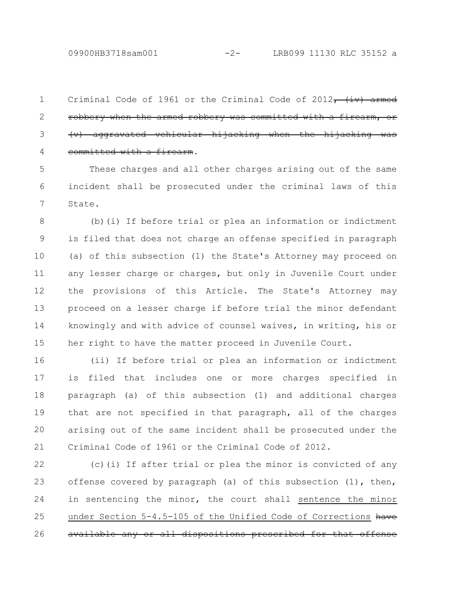09900HB3718sam001 -2- LRB099 11130 RLC 35152 a

Criminal Code of 1961 or the Criminal Code of 2012,  $\leftrightarrow$  armed robbery when the armed robbery was committed with a firearm, or  $(v)$  aggravated vehicular hijacking when the committed with a firearm. 1 2 3 4

These charges and all other charges arising out of the same incident shall be prosecuted under the criminal laws of this State. 5 6 7

(b)(i) If before trial or plea an information or indictment is filed that does not charge an offense specified in paragraph (a) of this subsection (1) the State's Attorney may proceed on any lesser charge or charges, but only in Juvenile Court under the provisions of this Article. The State's Attorney may proceed on a lesser charge if before trial the minor defendant knowingly and with advice of counsel waives, in writing, his or her right to have the matter proceed in Juvenile Court. 8 9 10 11 12 13 14 15

(ii) If before trial or plea an information or indictment is filed that includes one or more charges specified in paragraph (a) of this subsection (1) and additional charges that are not specified in that paragraph, all of the charges arising out of the same incident shall be prosecuted under the Criminal Code of 1961 or the Criminal Code of 2012. 16 17 18 19 20 21

(c)(i) If after trial or plea the minor is convicted of any offense covered by paragraph (a) of this subsection (1), then, in sentencing the minor, the court shall sentence the minor under Section 5-4.5-105 of the Unified Code of Corrections have available any or all dispositions prescribed for that offense 22 23 24 25 26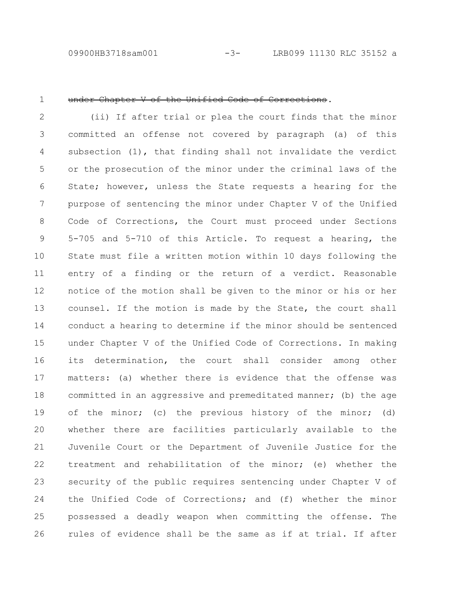09900HB3718sam001 -3- LRB099 11130 RLC 35152 a

1

## under Chapter V of the Unified Code of Corrections.

(ii) If after trial or plea the court finds that the minor committed an offense not covered by paragraph (a) of this subsection (1), that finding shall not invalidate the verdict or the prosecution of the minor under the criminal laws of the State; however, unless the State requests a hearing for the purpose of sentencing the minor under Chapter V of the Unified Code of Corrections, the Court must proceed under Sections 5-705 and 5-710 of this Article. To request a hearing, the State must file a written motion within 10 days following the entry of a finding or the return of a verdict. Reasonable notice of the motion shall be given to the minor or his or her counsel. If the motion is made by the State, the court shall conduct a hearing to determine if the minor should be sentenced under Chapter V of the Unified Code of Corrections. In making its determination, the court shall consider among other matters: (a) whether there is evidence that the offense was committed in an aggressive and premeditated manner; (b) the age of the minor; (c) the previous history of the minor; (d) whether there are facilities particularly available to the Juvenile Court or the Department of Juvenile Justice for the treatment and rehabilitation of the minor; (e) whether the security of the public requires sentencing under Chapter V of the Unified Code of Corrections; and (f) whether the minor possessed a deadly weapon when committing the offense. The rules of evidence shall be the same as if at trial. If after 2 3 4 5 6 7 8 9 10 11 12 13 14 15 16 17 18 19 20 21 22 23 24 25 26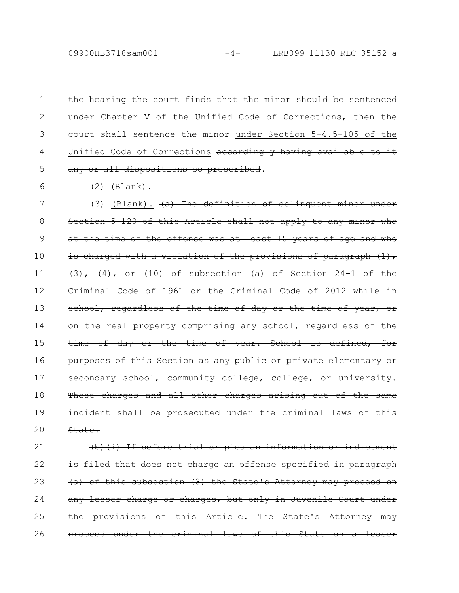09900HB3718sam001 -4- LRB099 11130 RLC 35152 a

the hearing the court finds that the minor should be sentenced under Chapter V of the Unified Code of Corrections, then the court shall sentence the minor under Section 5-4.5-105 of the Unified Code of Corrections accordingly having available any or all dispositions so prescribed. 1 2 3 4 5

(2) (Blank).

6

(3) (Blank).  $(a)$  The definition of delinquent minor under Section 5-120 of this Article shall not apply to any minor who at the time of the offense was at least 15 years of age and who is charged with a violation of the provisions of paragraph  $(1)$ ,  $(3)$ ,  $(4)$ , or  $(10)$  of subsection  $(a)$  of Section 24-1 of the Criminal Code of 1961 or the Criminal Code of 2012 while in school, regardless of the time of day or the time of year, on the real property comprising any school, regardless time of day or the time of year. School is defined, purposes of this Section as any public or private elementary or secondary school, community college, college, or university. These charges and all other charges arising out of the incident shall be prosecuted under the criminal laws of State. 7 8 9 10 11 12 13 14 15 16 17 18 19 20

(b)(i) If before trial or plea an information or indictment is filed that does not charge an offense specified in paragraph (a) of this subsection (3) the State's Attorney may proceed any lesser charge or charges, but only in Juvenile Court the provisions of this Article. The State's Attorney proceed under the criminal laws of this State on 21 22 23 24 25 26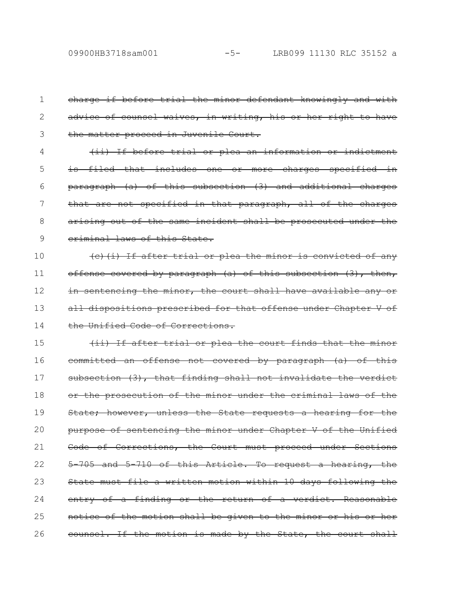charge if before trial the minor defendant knowingly and with advice of counsel waives, in writing, his or her right to have the matter proceed in Juvenile Court. (ii) If before trial or plea an information or indictment is filed that includes one or more charges specified paragraph (a) of this subsection (3) and additional charges that are not specified in that paragraph, all of the charges arising out of the same incident shall be prosecuted under the criminal laws of this State. (c)(i) If after trial or plea the minor is convicted of any offense covered by paragraph (a) of this subsection (3), then, in sentencing the minor, the court shall have available any or all dispositions prescribed for that offense under Chapter V of the Unified Code of Corrections. (ii) If after trial or plea the court finds that the committed an offense not covered by paragraph (a) of this subsection (3), that finding shall not invalidate the verdict or the prosecution of the minor under the criminal laws of the State; however, unless the State requests a hearing for the purpose of sentencing the minor under Chapter V of the Unified Code of Corrections, the Court must proceed under Sections 5-705 and 5-710 of this Article. To request a hearing, the State must file a written motion within 10 days following the entry of a finding or the return of a verdict. Reasonable notice of the motion shall be given to the minor or his counsel. If the motion is made by the State, the court shall 1 2 3 4 5 6 7 8 9 10 11 12 13 14 15 16 17 18 19 20 21 22 23 24 25 26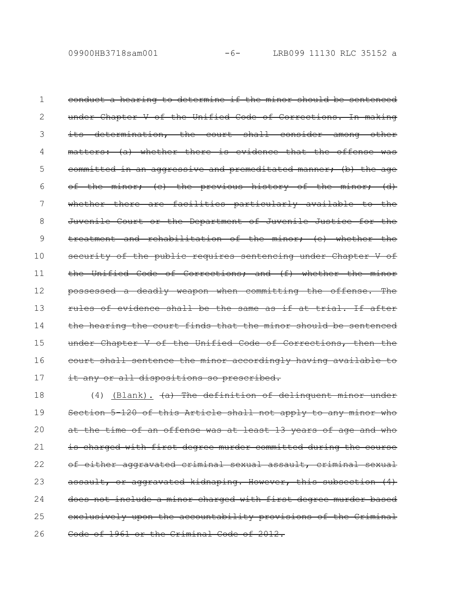conduct a hearing to determine if the minor should be sentenced under Chapter V of the Unified Code of Corrections. In making its determination, the court shall consider among other matters: (a) whether there is evidence that the offense committed in an aggressive and premeditated manner; (b) the age of the minor; (c) the previous history of the minor; (d) whether there are facilities particularly available to the Juvenile Court or the Department of Juvenile Justice for the treatment and rehabilitation of the minor; (e) whether the security of the public requires sentencing under Chapter V of the Unified Code of Corrections; and (f) whether the minor possessed a deadly weapon when committing the offense. The rules of evidence shall be the same as if at trial. If after the hearing the court finds that the minor should be sentenced under Chapter V of the Unified Code of Corrections, then court shall sentence the minor accordingly having available to it any or all dispositions so prescribed. 1 2 3 4 5 6 7 8 9 10 11 12 13 14 15 16 17

(4) (Blank).  $(a)$  The definition of delinguent minor under Section 5-120 of this Article shall not apply to any minor who at the time of an offense was at least 13 years of age and who is charged with first degree murder committed during the course of either aggravated criminal sexual assault, criminal assault, or aggravated kidnaping. However, this subsection (4) does not include a minor charged with first degree murder based exclusively upon the accountability provisions of the Code of 1961 or the Criminal Code of 2012. 18 19 20 21 22 23 24 25 26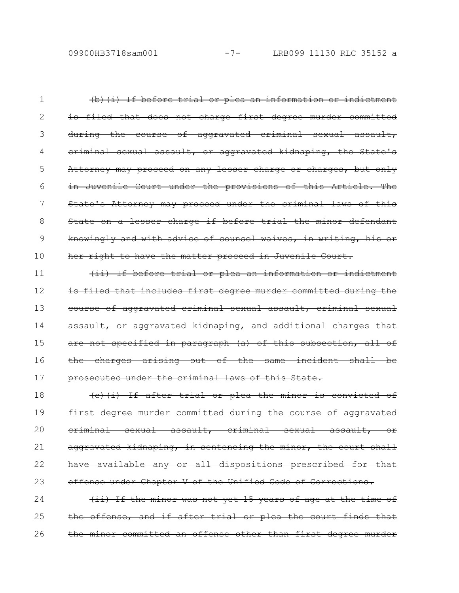(b)(i) If before trial or plea an information or indictment is filed that does not charge first degree murder committed during the course of aggravated criminal sexual assault, criminal sexual assault, or aggravated kidnaping, the State's Attorney may proceed on any lesser charge or charges, but only in Juvenile Court under the provisions of this Article. The State's Attorney may proceed under the criminal laws of this State on a lesser charge if before trial the minor defendant knowingly and with advice of counsel waives, in writing, his or her right to have the matter proceed in Juvenile Court. 1 2 3 4 5 6 7 8 9 10

(ii) If before trial or plea an information or indictment is filed that includes first degree murder committed during the course of aggravated criminal sexual assault, criminal sexual assault, or aggravated kidnaping, and additional charges that are not specified in paragraph (a) of this subsection, all of the charges arising out of the same incident shall be prosecuted under the criminal laws of this State. 11 12 13 14 15 16 17

(c)(i) If after trial or plea the minor is convicted of first degree murder committed during the course of aggravated criminal sexual assault, criminal sexual assault, or aggravated kidnaping, in sentencing the minor, the court shall have available any or all dispositions prescribed for that offense under Chapter V of the Unified Code of Corrections. 18 19 20 21 22 23

(ii) If the minor was not yet 15 years of age at the time of the offense, and if after trial or plea the court finds the minor committed an offense other than first degree murder 24 25 26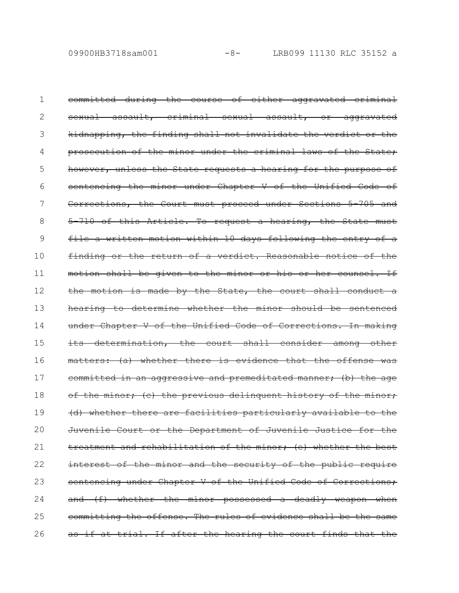committed during the course of either aggravated criminal sexual assault, criminal sexual assault, or aggravated kidnapping, the finding shall not invalidate the verdict or the prosecution of the minor under the criminal laws of the State; however, unless the State requests a hearing for the purpose sentencing the minor under Chapter V of the Unified Code of Corrections, the Court must proceed under Sections 5-705 and 5-710 of this Article. To request a hearing, the State must file a written motion within 10 days following the entry finding or the return of a verdict. Reasonable notice of the motion shall be given to the minor or his or her counsel. If the motion is made by the State, the court shall conduct hearing to determine whether the minor should be sentenced under Chapter V of the Unified Code of Corrections. In making its determination, the court shall consider among matters: (a) whether there is evidence that the offense was committed in an aggressive and premeditated manner; (b) the age of the minor; (c) the previous delinquent history of the minor; (d) whether there are facilities particularly available to the Juvenile Court or the Department of Juvenile Justice treatment and rehabilitation of the minor; (e) whether the best interest of the minor and the security of the public require sentencing under Chapter V of the Unified Code of Corrections; and (f) whether the minor possessed a deadly weapon when committing the offense. The rules of evidence shall be the as if at trial. If after the hearing the court finds that the 1 2 3 4 5 6 7 8 9 10 11 12 13 14 15 16 17 18 19 20 21 22 23 24 25 26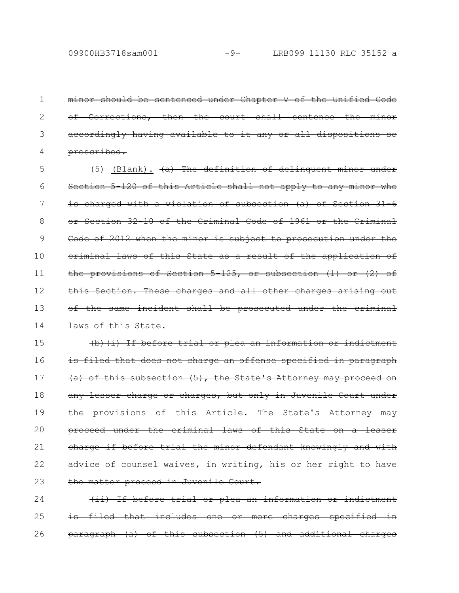minor should be sentenced under Chapter V of the Unified of Corrections, then the court shall sentence the accordingly having available to it any or all dispositions prescribed. 1 2 3 4

(5) (Blank).  $(a)$  The definition of delinquent minor under Section 5-120 of this Article shall not apply to any minor who is charged with a violation of subsection (a) of Section 31-6 or Section 32-10 of the Criminal Code of 1961 or the Criminal Code of 2012 when the minor is subject to prosecution under the criminal laws of this State as a result of the application of the provisions of Section 5-125, or subsection (1) or (2) of this Section. These charges and all other charges arising out of the same incident shall be prosecuted under the laws of this State. 5 6 7 8 9 10 11 12 13 14

(b)(i) If before trial or plea an information is filed that does not charge an offense specified in paragraph (a) of this subsection (5), the State's Attorney may proceed on any lesser charge or charges, but only in Juvenile Court under the provisions of this Article. The State's Attorney may proceed under the criminal laws of this State on a lesser charge if before trial the minor defendant knowingly and with advice of counsel waives, in writing, his or her right to the matter proceed in Juvenile Court. 15 16 17 18 19 20 21 22 23

(ii) If before trial or plea an information or indictment is filed that includes one or more charges specified  $\frac{\text{vargraph}}{\text{a}}$  (a) of this subsection (5) and additional 24 25 26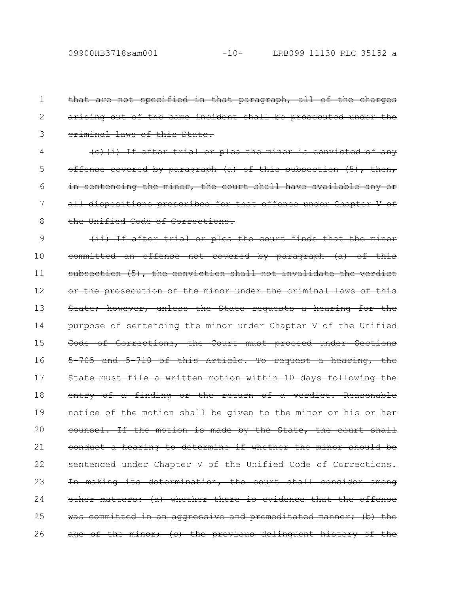that are not specified in that paragraph, all of the charges arising out of the same incident shall be prosecuted under the criminal laws of this State. (c)(i) If after trial or plea the minor is convicted of any offense covered by paragraph (a) of this subsection (5), then, in sentencing the minor, the court shall have available any all dispositions prescribed for that offense under Chapter V of the Unified Code of Corrections. (ii) If after trial or plea the court finds that the minor committed an offense not covered by paragraph (a) of this subsection (5), the conviction shall not invalidate the verdict or the prosecution of the minor under the criminal laws of this State; however, unless the State requests a hearing for the purpose of sentencing the minor under Chapter V of the Unified Code of Corrections, the Court must proceed under Sections 5-705 and 5-710 of this Article. To request a hearing, the State must file a written motion within 10 days following the entry of a finding or the return of a verdict. Reasonable notice of the motion shall be given to the minor or his or counsel. If the motion is made by the State, the court shall conduct a hearing to determine if whether the minor should be sentenced under Chapter V of the Unified Code of Corrections. In making its determination, the court shall consider among other matters: (a) whether there is evidence that the offense was committed in an aggressive and premeditated manner; (b) the age of the minor; (c) the previous delinquent history of the 1 2 3 4 5 6 7 8 9 10 11 12 13 14 15 16 17 18 19 20 21 22 23 24 25 26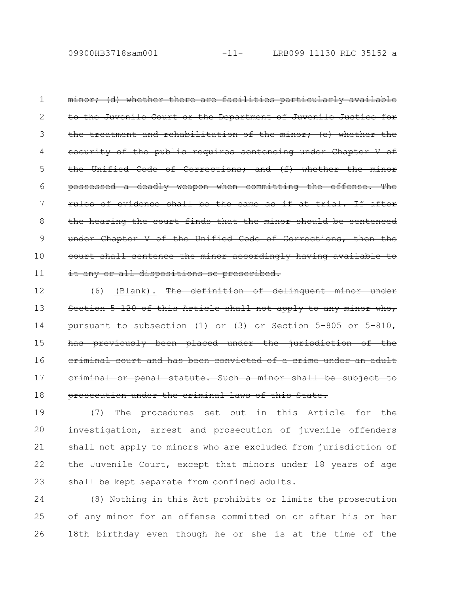minor; (d) whether there are facilities particularly available to the Juvenile Court or the Department of Juvenile Justice the treatment and rehabilitation of the minor, (e) whether of the public requires sentencing under Chapte the Unified Code of Corrections; and (f) whether possessed a deadly weapon when committing the offense. The rules of evidence shall be the same as if at trial. If after the hearing the court finds that the minor should be sentenced under Chapter V of the Unified Code of Corrections, then court shall sentence the minor accordingly having available it any or all dispositions so prescribed. 1 2 3 4 5 6 7 8 9 10 11

(6) (Blank). The definition of delinquent minor under Section 5-120 of this Article shall not apply to any pursuant to subsection (1) or (3) or Section 5 805 previously been placed under the jurisdiction criminal court and has been convicted of a crime under criminal or penal statute. Such a minor shall be subject prosecution under the criminal laws of this State. 12 13 14 15 16 17 18

(7) The procedures set out in this Article for the investigation, arrest and prosecution of juvenile offenders shall not apply to minors who are excluded from jurisdiction of the Juvenile Court, except that minors under 18 years of age shall be kept separate from confined adults. 19 20 21 22 23

(8) Nothing in this Act prohibits or limits the prosecution of any minor for an offense committed on or after his or her 18th birthday even though he or she is at the time of the 24 25 26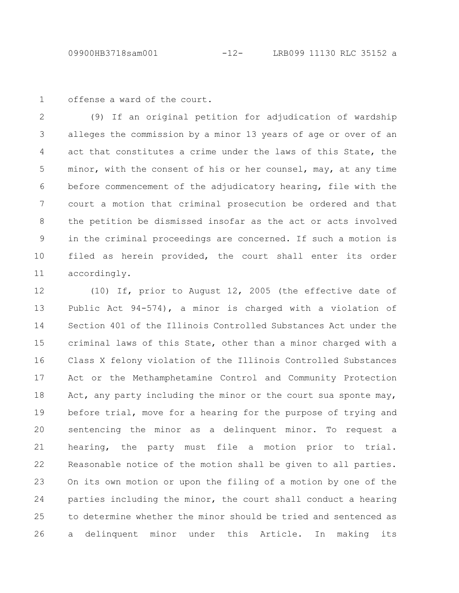offense a ward of the court. 1

(9) If an original petition for adjudication of wardship alleges the commission by a minor 13 years of age or over of an act that constitutes a crime under the laws of this State, the minor, with the consent of his or her counsel, may, at any time before commencement of the adjudicatory hearing, file with the court a motion that criminal prosecution be ordered and that the petition be dismissed insofar as the act or acts involved in the criminal proceedings are concerned. If such a motion is filed as herein provided, the court shall enter its order accordingly. 2 3 4 5 6 7 8 9 10 11

(10) If, prior to August 12, 2005 (the effective date of Public Act 94-574), a minor is charged with a violation of Section 401 of the Illinois Controlled Substances Act under the criminal laws of this State, other than a minor charged with a Class X felony violation of the Illinois Controlled Substances Act or the Methamphetamine Control and Community Protection Act, any party including the minor or the court sua sponte may, before trial, move for a hearing for the purpose of trying and sentencing the minor as a delinquent minor. To request a hearing, the party must file a motion prior to trial. Reasonable notice of the motion shall be given to all parties. On its own motion or upon the filing of a motion by one of the parties including the minor, the court shall conduct a hearing to determine whether the minor should be tried and sentenced as a delinquent minor under this Article. In making its 12 13 14 15 16 17 18 19 20 21 22 23 24 25 26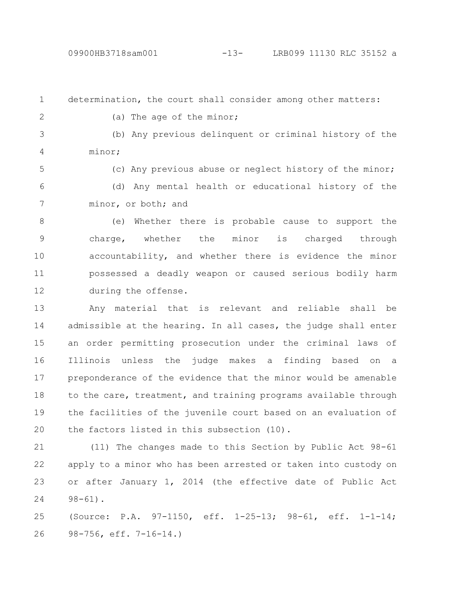determination, the court shall consider among other matters: 1 2

(a) The age of the minor;

(b) Any previous delinquent or criminal history of the minor; 3 4

(c) Any previous abuse or neglect history of the minor; (d) Any mental health or educational history of the minor, or both; and 5 6 7

(e) Whether there is probable cause to support the charge, whether the minor is charged through accountability, and whether there is evidence the minor possessed a deadly weapon or caused serious bodily harm during the offense. 8 9 10 11 12

Any material that is relevant and reliable shall be admissible at the hearing. In all cases, the judge shall enter an order permitting prosecution under the criminal laws of Illinois unless the judge makes a finding based on a preponderance of the evidence that the minor would be amenable to the care, treatment, and training programs available through the facilities of the juvenile court based on an evaluation of the factors listed in this subsection (10). 13 14 15 16 17 18 19 20

(11) The changes made to this Section by Public Act 98-61 apply to a minor who has been arrested or taken into custody on or after January 1, 2014 (the effective date of Public Act  $98 - 61$ . 21 22 23 24

(Source: P.A. 97-1150, eff. 1-25-13; 98-61, eff. 1-1-14; 98-756, eff. 7-16-14.) 25 26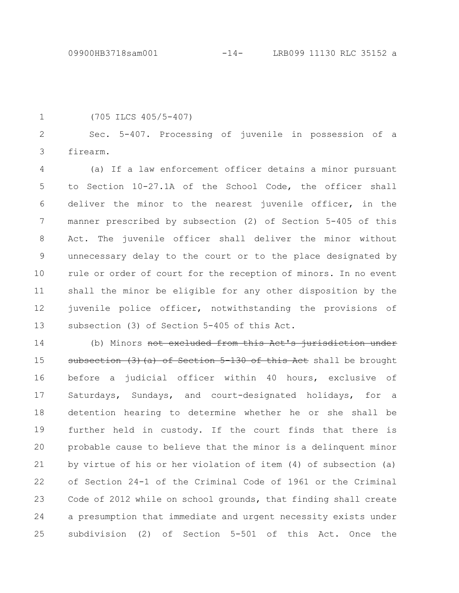1

(705 ILCS 405/5-407)

Sec. 5-407. Processing of juvenile in possession of a firearm. 2 3

(a) If a law enforcement officer detains a minor pursuant to Section 10-27.1A of the School Code, the officer shall deliver the minor to the nearest juvenile officer, in the manner prescribed by subsection (2) of Section 5-405 of this Act. The juvenile officer shall deliver the minor without unnecessary delay to the court or to the place designated by rule or order of court for the reception of minors. In no event shall the minor be eligible for any other disposition by the juvenile police officer, notwithstanding the provisions of subsection (3) of Section 5-405 of this Act. 4 5 6 7 8 9 10 11 12 13

(b) Minors not excluded from this Act's jurisdiction subsection (3) (a) of Section 5-130 of this Act shall be brought before a judicial officer within 40 hours, exclusive of Saturdays, Sundays, and court-designated holidays, for a detention hearing to determine whether he or she shall be further held in custody. If the court finds that there is probable cause to believe that the minor is a delinquent minor by virtue of his or her violation of item (4) of subsection (a) of Section 24-1 of the Criminal Code of 1961 or the Criminal Code of 2012 while on school grounds, that finding shall create a presumption that immediate and urgent necessity exists under subdivision (2) of Section 5-501 of this Act. Once the 14 15 16 17 18 19 20 21 22 23 24 25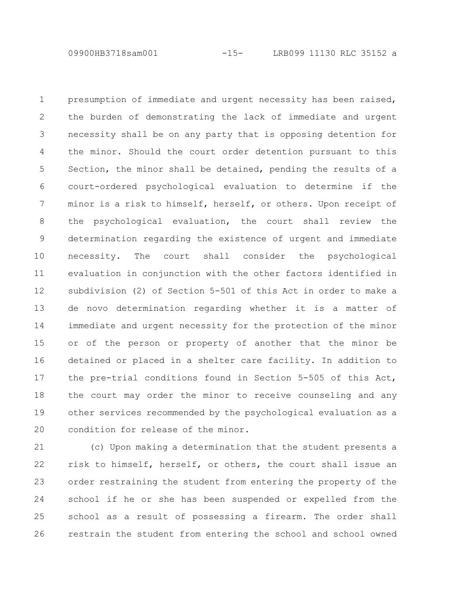09900HB3718sam001 -15- LRB099 11130 RLC 35152 a

presumption of immediate and urgent necessity has been raised, the burden of demonstrating the lack of immediate and urgent necessity shall be on any party that is opposing detention for the minor. Should the court order detention pursuant to this Section, the minor shall be detained, pending the results of a court-ordered psychological evaluation to determine if the minor is a risk to himself, herself, or others. Upon receipt of the psychological evaluation, the court shall review the determination regarding the existence of urgent and immediate necessity. The court shall consider the psychological evaluation in conjunction with the other factors identified in subdivision (2) of Section 5-501 of this Act in order to make a de novo determination regarding whether it is a matter of immediate and urgent necessity for the protection of the minor or of the person or property of another that the minor be detained or placed in a shelter care facility. In addition to the pre-trial conditions found in Section 5-505 of this Act, the court may order the minor to receive counseling and any other services recommended by the psychological evaluation as a condition for release of the minor. 1 2 3 4 5 6 7 8 9 10 11 12 13 14 15 16 17 18 19 20

(c) Upon making a determination that the student presents a risk to himself, herself, or others, the court shall issue an order restraining the student from entering the property of the school if he or she has been suspended or expelled from the school as a result of possessing a firearm. The order shall restrain the student from entering the school and school owned 21 22 23 24 25 26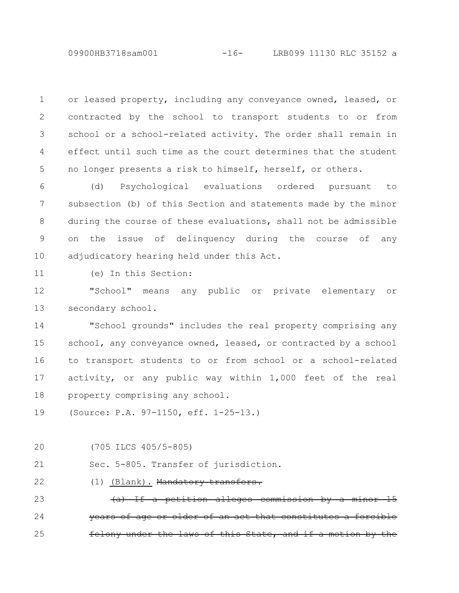or leased property, including any conveyance owned, leased, or contracted by the school to transport students to or from school or a school-related activity. The order shall remain in effect until such time as the court determines that the student no longer presents a risk to himself, herself, or others. 1 2 3 4 5

(d) Psychological evaluations ordered pursuant to subsection (b) of this Section and statements made by the minor during the course of these evaluations, shall not be admissible on the issue of delinquency during the course of any adjudicatory hearing held under this Act. 6 7 8 9 10

(e) In this Section: 11

"School" means any public or private elementary or secondary school. 12 13

"School grounds" includes the real property comprising any school, any conveyance owned, leased, or contracted by a school to transport students to or from school or a school-related activity, or any public way within 1,000 feet of the real property comprising any school. 14 15 16 17 18

- (Source: P.A. 97-1150, eff. 1-25-13.) 19
- (705 ILCS 405/5-805) 20

Sec. 5-805. Transfer of jurisdiction. 21

(1) (Blank). Mandatory transfers. 22

a petition alleges commission older of an act that under the laws of this State, and 23 24 25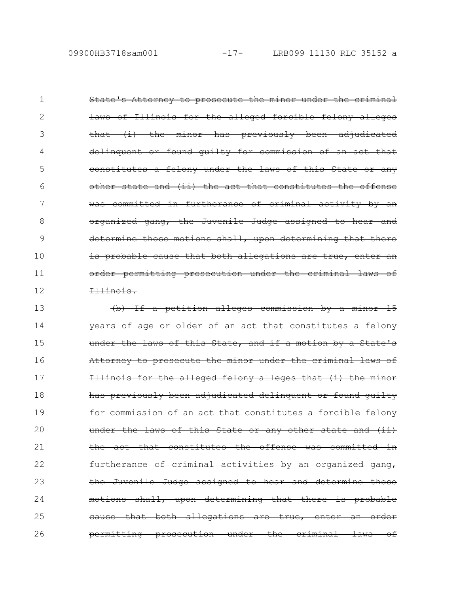State's Attorney to prosecute the minor under the criminal laws of Illinois for the alleged forcible felony alleges that (i) the minor has previously been adjudicated delinquent or found quilty for commission of an constitutes a felony under the laws of this State other state and (ii) the act that constitutes the was committed in furtherance of criminal activity by an organized gang, the Juvenile Judge assigned to hear and determine those motions shall, upon determining that there is probable cause that both allegations are order permitting prosecution under the criminal laws of Illinois. 1 2 3 4 5 6 7 8 9 10 11 12

(b) If a petition alleges commission by a minor 15 vears of age or older of an act that constitutes of this State, and if a motion by Attorney to prosecute the minor under the criminal laws of Illinois for the alleged felony alleges that (i) the minor has previously been adjudicated delinquent or found quilty for commission of an act that constitutes a forcible felony under the laws of this State or any other the act that constitutes the offense was committed in furtherance of criminal activities by an organized gang, the Juvenile Judge assigned to hear and determine motions shall, upon determining that there is probable eause that both allegations are true, enter permitting prosecution under the criminal laws of 13 14 15 16 17 18 19 20 21 22 23 24 25 26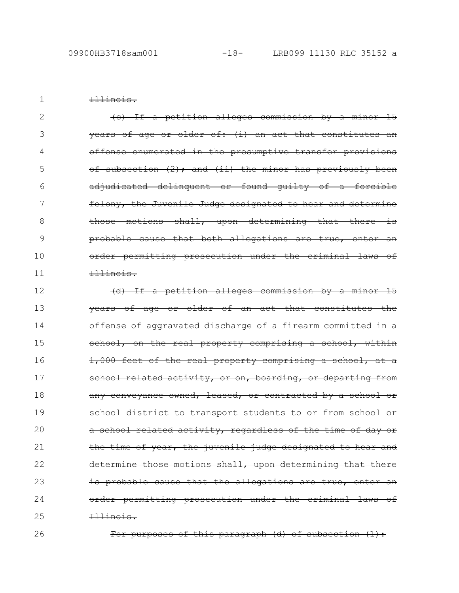Illinois.

1

(c) If a petition alleges commission by a minor 15  $\frac{1}{2}$  years of age or older of: (i) an act that constitutes offense enumerated in the presumptive transfer provis of subsection (2); and (ii) the minor has previously been adjudicated delinquent or found guilty of a forcible felony, the Juvenile Judge designated to hear and determine those motions shall, upon determining that there probable cause that both allegations are order permitting prosecution under the criminal laws of Illinois. 2 3 4 5 6 7 8 9 10 11

(d) If a petition alleges commission by a minor 15 years of age or older of an act that constitutes offense of aggravated discharge of a firearm committed school, on the real property comprising a school, 1,000 feet of the real property comprising a school, at a school related activity, or on, boarding, or departing from any conveyance owned, leased, or contracted by a school school district to transport students to or from school a school related activity, regardless of the time of day the time of year, the juvenile judge designated to hear and determine those motions shall, upon determining that there is probable cause that the allegations are true, enter order permitting prosecution under the criminal laws of Illinois. 12 13 14 15 16 17 18 19 20 21 22 23 24 25

26

For purposes of this paragraph (d) of subsection (1):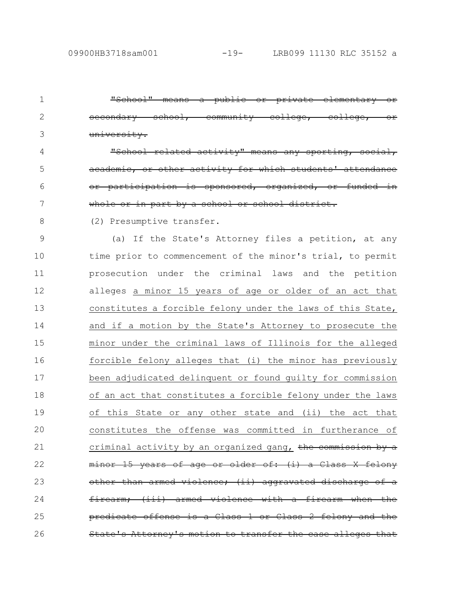"School" means a public or private elementary or secondary school, community college, college, or university. related activity" means activity for which or participation is sponsored, organized, or funded in whole or in part by a school or school (2) Presumptive transfer. (a) If the State's Attorney files a petition, at any time prior to commencement of the minor's trial, to permit prosecution under the criminal laws and the petition alleges a minor 15 years of age or older of an act that constitutes a forcible felony under the laws of this State, and if a motion by the State's Attorney to prosecute the minor under the criminal laws of Illinois for the alleged forcible felony alleges that (i) the minor has previously been adjudicated delinquent or found guilty for commission of an act that constitutes a forcible felony under the laws of this State or any other state and (ii) the act that constitutes the offense was committed in furtherance of criminal activity by an organized gang, the commission by a 15 years of age or older of: armed violence; (ii) firearm; (iii) armed violence with a firearm when the predicate offense is a Class 1 or Class 2 felony and the State's Attorney's motion to transfer the case alleges that 1 2 3 4 5 6 7 8 9 10 11 12 13 14 15 16 17 18 19 20 21 22 23 24 25 26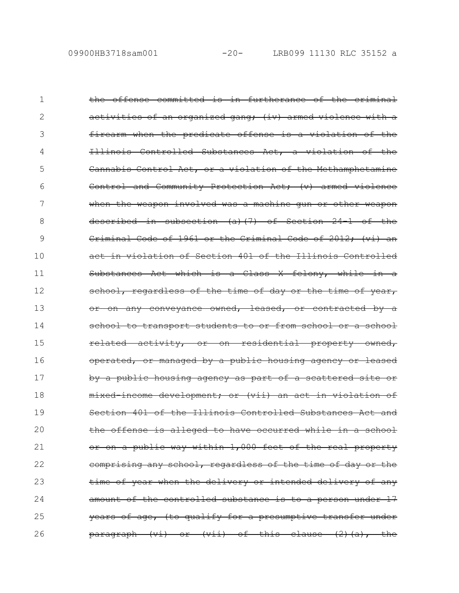the offense committed is in furtherance of the criminal activities of an organized gang; (iv) armed violence with a firearm when the predicate offense is a violation of Illinois Controlled Substances Act, a violation Cannabis Control Act, or a violation of the Methamphetamine Control and Community Protection Act; (v) armed when the weapon involved was a machine gun or other weapon described in subsection (a)(7) of Section 24-1 of the Criminal Code of 1961 or the Criminal Code of 2012; (vi) act in violation of Section 401 of the Illinois Controlled Substances Act which is a Class  $X$  felony, while school, regardless of the time of day or the time of or on any conveyance owned, leased, or contracted transport students to or from school related activity, or on residential property owned, operated, or managed by a public housing agency or leased by a public housing agency as part of a scattered mixed income development; or (vii) an act in violation of Section 401 of the Illinois Controlled Substances Act and the offense is alleged to have occurred while or on a public way within 1,000 feet of the real property comprising any school, regardless of the time of day or the time of year when the delivery or intended delivery of any amount of the controlled substance is to a person under 17 years of age, (to qualify for a presumptive transfer paragraph (vi) or (vii) of this clause (2)(a), the 1 2 3 4 5 6 7 8 9 10 11 12 13 14 15 16 17 18 19 20 21 22 23 24 25 26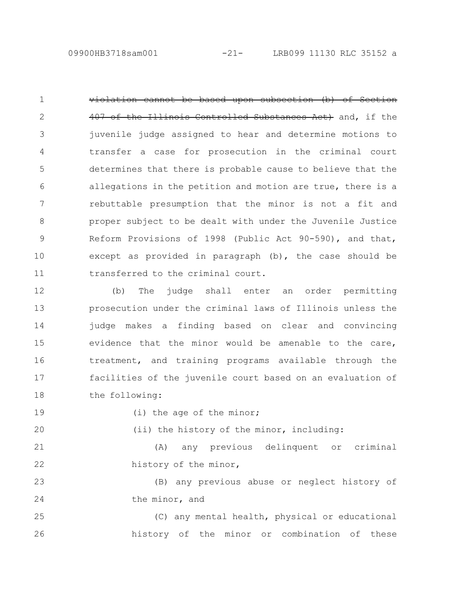09900HB3718sam001 -21- LRB099 11130 RLC 35152 a

be based upon subsection (b) of Section 407 of the Illinois Controlled Substances Act) and, if the juvenile judge assigned to hear and determine motions to transfer a case for prosecution in the criminal court determines that there is probable cause to believe that the allegations in the petition and motion are true, there is a rebuttable presumption that the minor is not a fit and proper subject to be dealt with under the Juvenile Justice Reform Provisions of 1998 (Public Act 90-590), and that, except as provided in paragraph (b), the case should be transferred to the criminal court. 1 2 3 4 5 6 7 8 9 10 11

(b) The judge shall enter an order permitting prosecution under the criminal laws of Illinois unless the judge makes a finding based on clear and convincing evidence that the minor would be amenable to the care, treatment, and training programs available through the facilities of the juvenile court based on an evaluation of the following: 12 13 14 15 16 17 18

19

20

(i) the age of the minor;

(ii) the history of the minor, including:

(A) any previous delinquent or criminal history of the minor, 21 22

(B) any previous abuse or neglect history of the minor, and 23 24

(C) any mental health, physical or educational history of the minor or combination of these 25 26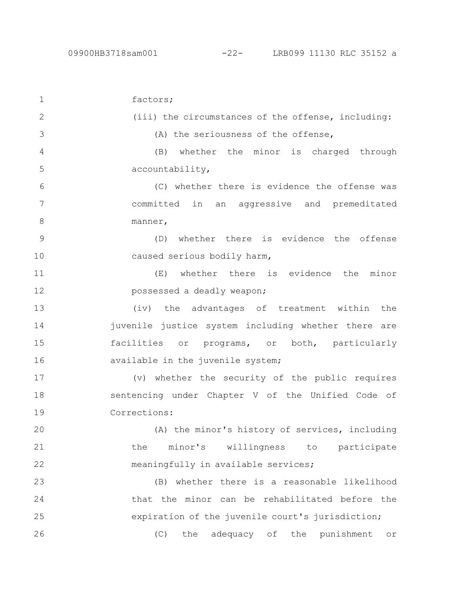factors; (iii) the circumstances of the offense, including: (A) the seriousness of the offense, (B) whether the minor is charged through accountability, (C) whether there is evidence the offense was committed in an aggressive and premeditated manner, (D) whether there is evidence the offense caused serious bodily harm, (E) whether there is evidence the minor possessed a deadly weapon; (iv) the advantages of treatment within the juvenile justice system including whether there are facilities or programs, or both, particularly available in the juvenile system; (v) whether the security of the public requires sentencing under Chapter V of the Unified Code of Corrections: (A) the minor's history of services, including the minor's willingness to participate meaningfully in available services; (B) whether there is a reasonable likelihood that the minor can be rehabilitated before the expiration of the juvenile court's jurisdiction; (C) the adequacy of the punishment or 1 2 3 4 5 6 7 8 9 10 11 12 13 14 15 16 17 18 19 20 21 22 23 24 25 26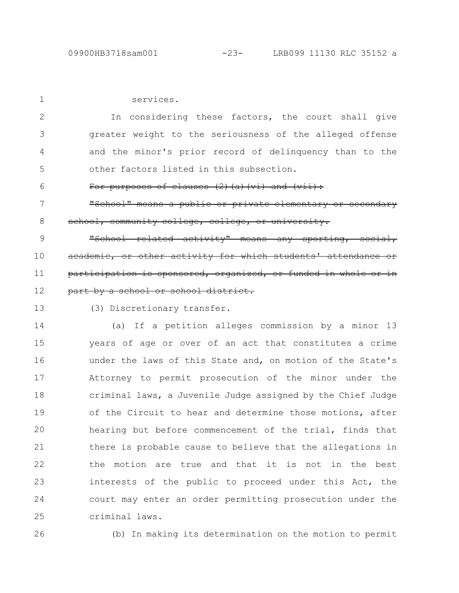services. In considering these factors, the court shall give greater weight to the seriousness of the alleged offense and the minor's prior record of delinquency than to the other factors listed in this subsection. purposes of clauses (2)(a)(vi) and "School" means a public or private elementary or secondary school, community college, college, or university. "School related activity" means any sporting, or other activity for which students' attendance rticipation is sponsored, organized, or funded part by a school or school district. (3) Discretionary transfer. (a) If a petition alleges commission by a minor 13 years of age or over of an act that constitutes a crime under the laws of this State and, on motion of the State's Attorney to permit prosecution of the minor under the criminal laws, a Juvenile Judge assigned by the Chief Judge of the Circuit to hear and determine those motions, after hearing but before commencement of the trial, finds that there is probable cause to believe that the allegations in the motion are true and that it is not in the best interests of the public to proceed under this Act, the court may enter an order permitting prosecution under the criminal laws. 1 2 3 4 5 6 7 8 9 10 11 12 13 14 15 16 17 18 19 20 21 22 23 24 25

26

(b) In making its determination on the motion to permit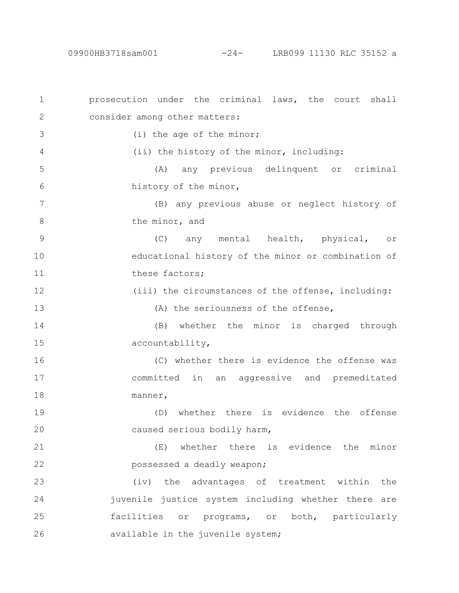prosecution under the criminal laws, the court shall consider among other matters: (i) the age of the minor; (ii) the history of the minor, including: (A) any previous delinquent or criminal history of the minor, (B) any previous abuse or neglect history of the minor, and (C) any mental health, physical, or educational history of the minor or combination of these factors; (iii) the circumstances of the offense, including: (A) the seriousness of the offense, (B) whether the minor is charged through accountability, (C) whether there is evidence the offense was committed in an aggressive and premeditated manner, (D) whether there is evidence the offense caused serious bodily harm, (E) whether there is evidence the minor possessed a deadly weapon; (iv) the advantages of treatment within the juvenile justice system including whether there are facilities or programs, or both, particularly available in the juvenile system; 1 2 3 4 5 6 7 8 9 10 11 12 13 14 15 16 17 18 19 20 21 22 23 24 25 26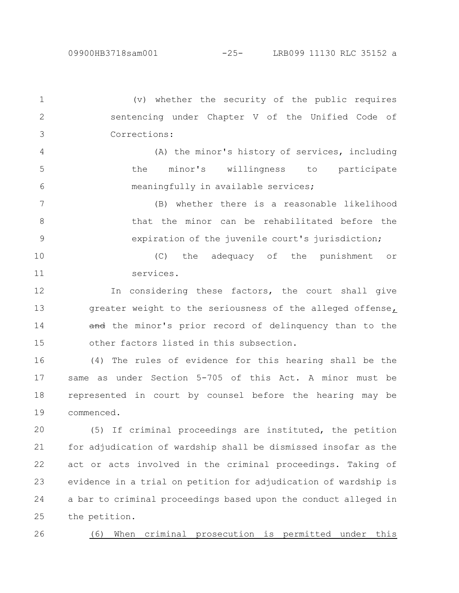(v) whether the security of the public requires sentencing under Chapter V of the Unified Code of Corrections: 1 2 3

(A) the minor's history of services, including the minor's willingness to participate meaningfully in available services; 4 5 6

(B) whether there is a reasonable likelihood that the minor can be rehabilitated before the expiration of the juvenile court's jurisdiction; 7 8 9

(C) the adequacy of the punishment or services. 10 11

In considering these factors, the court shall give greater weight to the seriousness of the alleged offense, and the minor's prior record of delinquency than to the other factors listed in this subsection. 12 13 14 15

(4) The rules of evidence for this hearing shall be the same as under Section 5-705 of this Act. A minor must be represented in court by counsel before the hearing may be commenced. 16 17 18 19

(5) If criminal proceedings are instituted, the petition for adjudication of wardship shall be dismissed insofar as the act or acts involved in the criminal proceedings. Taking of evidence in a trial on petition for adjudication of wardship is a bar to criminal proceedings based upon the conduct alleged in the petition. 20 21 22 23 24 25

(6) When criminal prosecution is permitted under this 26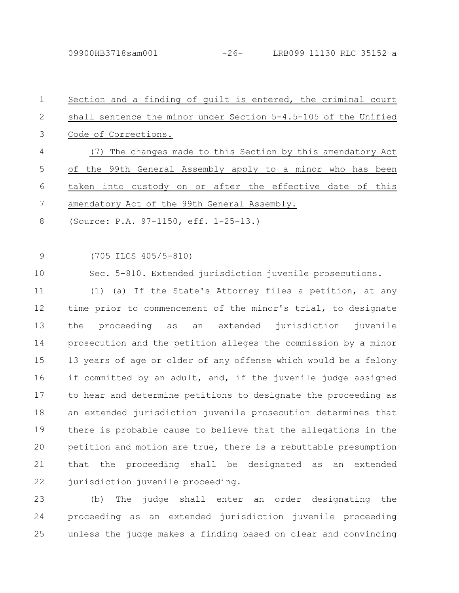| $\mathbf 1$   | Section and a finding of guilt is entered, the criminal court         |
|---------------|-----------------------------------------------------------------------|
| 2             | shall sentence the minor under Section 5-4.5-105 of the Unified       |
| 3             | Code of Corrections.                                                  |
| 4             | The changes made to this Section by this amendatory Act<br>(7)        |
| 5             | the 99th General Assembly apply to a minor who has been<br>оf         |
| 6             | taken into custody on or after the effective date of this             |
| 7             | amendatory Act of the 99th General Assembly.                          |
| 8             | (Source: P.A. 97-1150, eff. 1-25-13.)                                 |
|               |                                                                       |
| $\mathcal{G}$ | $(705$ ILCS $405/5-810)$                                              |
| 10            | Sec. 5-810. Extended jurisdiction juvenile prosecutions.              |
| 11            | (1) (a) If the State's Attorney files a petition, at any              |
| 12            | time prior to commencement of the minor's trial, to designate         |
| 13            | extended<br>jurisdiction<br>juvenile<br>the<br>proceeding<br>as<br>an |
| 14            | prosecution and the petition alleges the commission by a minor        |
| 15            | 13 years of age or older of any offense which would be a felony       |
| 16            | if committed by an adult, and, if the juvenile judge assigned         |
| 17            | to hear and determine petitions to designate the proceeding as        |
| 18            | an extended jurisdiction juvenile prosecution determines that         |
| 19            | there is probable cause to believe that the allegations in the        |
| 20            | petition and motion are true, there is a rebuttable presumption       |
| 21            | that the proceeding shall be designated as<br>extended<br>an          |
| 22            | jurisdiction juvenile proceeding.                                     |
| つつ            | $indao$ $chall$ $ontor$ $no$                                          |

(b) The judge shall enter an order designating the proceeding as an extended jurisdiction juvenile proceeding 24 unless the judge makes a finding based on clear and convincing 25 23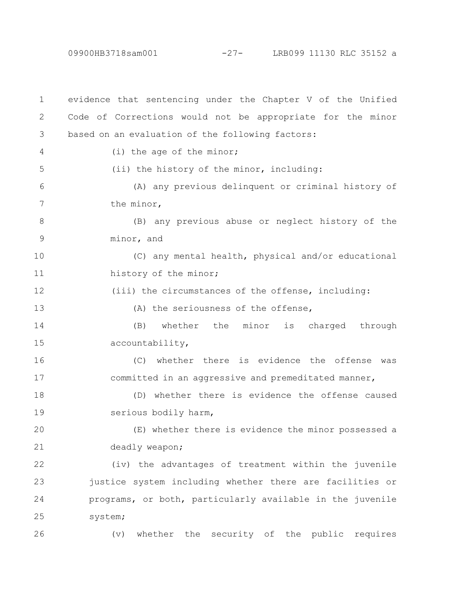09900HB3718sam001 -27- LRB099 11130 RLC 35152 a

evidence that sentencing under the Chapter V of the Unified Code of Corrections would not be appropriate for the minor based on an evaluation of the following factors: (i) the age of the minor; (ii) the history of the minor, including: (A) any previous delinquent or criminal history of the minor, (B) any previous abuse or neglect history of the minor, and (C) any mental health, physical and/or educational history of the minor; (iii) the circumstances of the offense, including: (A) the seriousness of the offense, (B) whether the minor is charged through accountability, (C) whether there is evidence the offense was committed in an aggressive and premeditated manner, (D) whether there is evidence the offense caused serious bodily harm, (E) whether there is evidence the minor possessed a deadly weapon; (iv) the advantages of treatment within the juvenile justice system including whether there are facilities or programs, or both, particularly available in the juvenile system; (v) whether the security of the public requires 1 2 3 4 5 6 7 8 9 10 11 12 13 14 15 16 17 18 19 20 21 22 23 24 25 26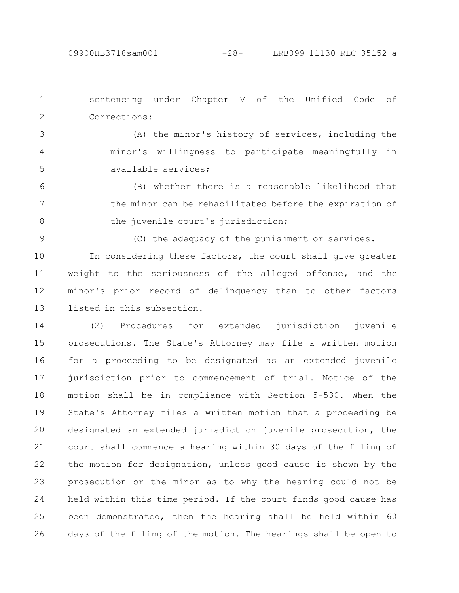9

sentencing under Chapter V of the Unified Code of Corrections: 1 2

(A) the minor's history of services, including the minor's willingness to participate meaningfully in available services; 3 4 5

(B) whether there is a reasonable likelihood that the minor can be rehabilitated before the expiration of the juvenile court's jurisdiction; 6 7 8

(C) the adequacy of the punishment or services.

In considering these factors, the court shall give greater weight to the seriousness of the alleged offense, and the minor's prior record of delinquency than to other factors listed in this subsection. 10 11 12 13

(2) Procedures for extended jurisdiction juvenile prosecutions. The State's Attorney may file a written motion for a proceeding to be designated as an extended juvenile jurisdiction prior to commencement of trial. Notice of the motion shall be in compliance with Section 5-530. When the State's Attorney files a written motion that a proceeding be designated an extended jurisdiction juvenile prosecution, the court shall commence a hearing within 30 days of the filing of the motion for designation, unless good cause is shown by the prosecution or the minor as to why the hearing could not be held within this time period. If the court finds good cause has been demonstrated, then the hearing shall be held within 60 days of the filing of the motion. The hearings shall be open to 14 15 16 17 18 19 20 21 22 23 24 25 26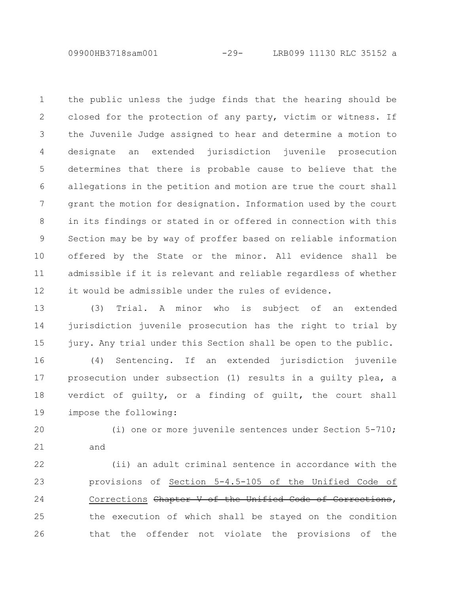09900HB3718sam001 -29- LRB099 11130 RLC 35152 a

the public unless the judge finds that the hearing should be closed for the protection of any party, victim or witness. If the Juvenile Judge assigned to hear and determine a motion to designate an extended jurisdiction juvenile prosecution determines that there is probable cause to believe that the allegations in the petition and motion are true the court shall grant the motion for designation. Information used by the court in its findings or stated in or offered in connection with this Section may be by way of proffer based on reliable information offered by the State or the minor. All evidence shall be admissible if it is relevant and reliable regardless of whether it would be admissible under the rules of evidence. 1 2 3 4 5 6 7 8 9 10 11 12

(3) Trial. A minor who is subject of an extended jurisdiction juvenile prosecution has the right to trial by jury. Any trial under this Section shall be open to the public. 13 14 15

(4) Sentencing. If an extended jurisdiction juvenile prosecution under subsection (1) results in a guilty plea, a verdict of guilty, or a finding of guilt, the court shall impose the following: 16 17 18 19

(i) one or more juvenile sentences under Section 5-710; and 20 21

(ii) an adult criminal sentence in accordance with the provisions of Section 5-4.5-105 of the Unified Code of Corrections Chapter V of the Unified Code of Corrections, the execution of which shall be stayed on the condition that the offender not violate the provisions of the 22 23 24 25 26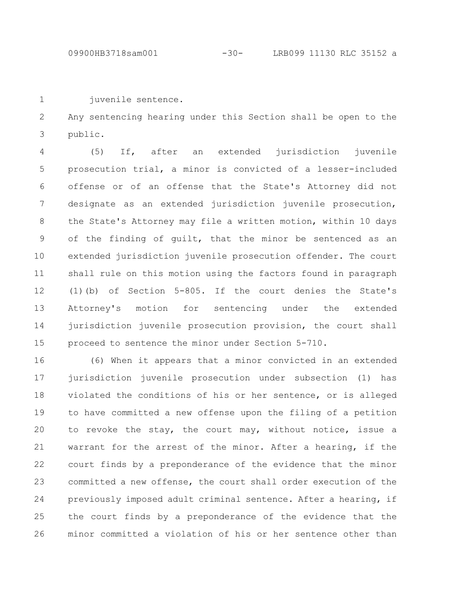juvenile sentence. 1

Any sentencing hearing under this Section shall be open to the public. 2 3

(5) If, after an extended jurisdiction juvenile prosecution trial, a minor is convicted of a lesser-included offense or of an offense that the State's Attorney did not designate as an extended jurisdiction juvenile prosecution, the State's Attorney may file a written motion, within 10 days of the finding of guilt, that the minor be sentenced as an extended jurisdiction juvenile prosecution offender. The court shall rule on this motion using the factors found in paragraph (1)(b) of Section 5-805. If the court denies the State's Attorney's motion for sentencing under the extended jurisdiction juvenile prosecution provision, the court shall proceed to sentence the minor under Section 5-710. 4 5 6 7 8 9 10 11 12 13 14 15

(6) When it appears that a minor convicted in an extended jurisdiction juvenile prosecution under subsection (1) has violated the conditions of his or her sentence, or is alleged to have committed a new offense upon the filing of a petition to revoke the stay, the court may, without notice, issue a warrant for the arrest of the minor. After a hearing, if the court finds by a preponderance of the evidence that the minor committed a new offense, the court shall order execution of the previously imposed adult criminal sentence. After a hearing, if the court finds by a preponderance of the evidence that the minor committed a violation of his or her sentence other than 16 17 18 19 20 21 22 23 24 25 26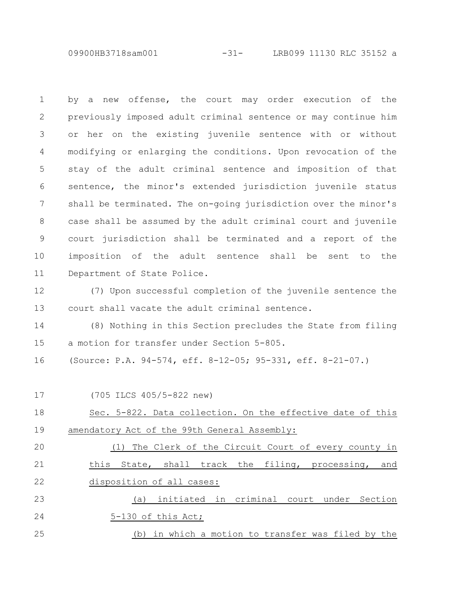09900HB3718sam001 -31- LRB099 11130 RLC 35152 a

by a new offense, the court may order execution of the previously imposed adult criminal sentence or may continue him or her on the existing juvenile sentence with or without modifying or enlarging the conditions. Upon revocation of the stay of the adult criminal sentence and imposition of that sentence, the minor's extended jurisdiction juvenile status shall be terminated. The on-going jurisdiction over the minor's case shall be assumed by the adult criminal court and juvenile court jurisdiction shall be terminated and a report of the imposition of the adult sentence shall be sent to the Department of State Police. 1 2 3 4 5 6 7 8 9 10 11

(7) Upon successful completion of the juvenile sentence the court shall vacate the adult criminal sentence. 12 13

(8) Nothing in this Section precludes the State from filing a motion for transfer under Section 5-805. 14 15

(Source: P.A. 94-574, eff. 8-12-05; 95-331, eff. 8-21-07.) 16

(705 ILCS 405/5-822 new) Sec. 5-822. Data collection. On the effective date of this amendatory Act of the 99th General Assembly: (1) The Clerk of the Circuit Court of every county in this State, shall track the filing, processing, and disposition of all cases: (a) initiated in criminal court under Section 5-130 of this Act; (b) in which a motion to transfer was filed by the 17 18 19 20 21 22 23 24 25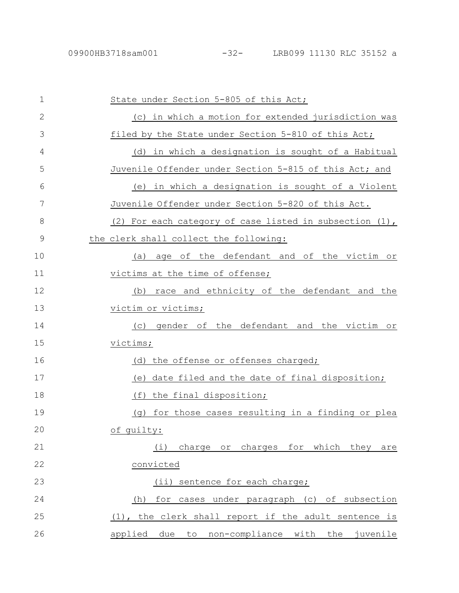| $\mathbf 1$   | State under Section 5-805 of this Act;                       |
|---------------|--------------------------------------------------------------|
| $\mathbf{2}$  | (c) in which a motion for extended jurisdiction was          |
| 3             | filed by the State under Section 5-810 of this Act;          |
| 4             | (d) in which a designation is sought of a Habitual           |
| 5             | Juvenile Offender under Section 5-815 of this Act; and       |
| 6             | (e) in which a designation is sought of a Violent            |
| 7             | Juvenile Offender under Section 5-820 of this Act.           |
| 8             | (2) For each category of case listed in subsection (1),      |
| $\mathcal{G}$ | the clerk shall collect the following:                       |
| 10            | age of the defendant and of the victim or<br>(a)             |
| 11            | victims at the time of offense;                              |
| 12            | race and ethnicity of the defendant and the<br>(b)           |
| 13            | victim or victims;                                           |
| 14            | gender of the defendant and the victim or<br>(C)             |
| 15            | victims;                                                     |
| 16            | (d) the offense or offenses charged;                         |
| 17            | date filed and the date of final disposition;<br>(e)         |
| 18            | the final disposition;<br>(f)                                |
| 19            | for those cases resulting in a finding or plea<br>$(\sigma)$ |
| 20            | of quilty:                                                   |
| 21            | charge or charges for which they are<br>(i)                  |
| 22            | convicted                                                    |
| 23            | $(i$ i)<br>sentence for each charge;                         |
| 24            | for cases under paragraph (c) of subsection<br>(h)           |
| 25            | (1), the clerk shall report if the adult sentence is         |
| 26            | applied due to non-compliance with<br>the juvenile           |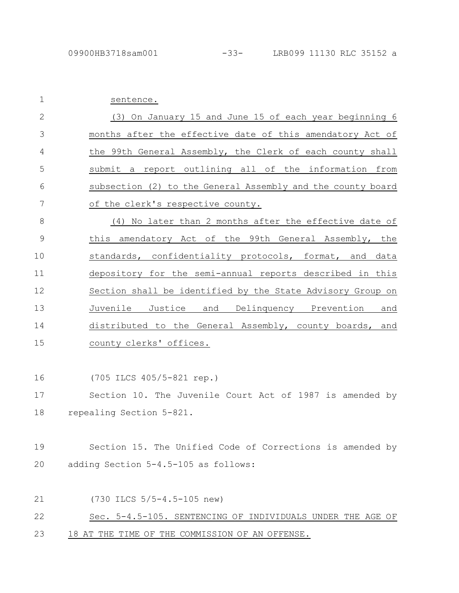| $\mathbf 1$   | sentence.                                                   |
|---------------|-------------------------------------------------------------|
| $\mathbf{2}$  | (3) On January 15 and June 15 of each year beginning 6      |
| 3             | months after the effective date of this amendatory Act of   |
| 4             | the 99th General Assembly, the Clerk of each county shall   |
| 5             | submit a report outlining all of the information from       |
| 6             | subsection (2) to the General Assembly and the county board |
| 7             | of the clerk's respective county.                           |
| 8             | (4) No later than 2 months after the effective date of      |
| $\mathcal{G}$ | this amendatory Act of the 99th General Assembly, the       |
| 10            | standards, confidentiality protocols, format, and data      |
| 11            | depository for the semi-annual reports described in this    |
| 12            | Section shall be identified by the State Advisory Group on  |
| 13            | Juvenile<br>Justice<br>and Delinquency Prevention<br>and    |
| 14            | distributed to the General Assembly, county boards, and     |
| 15            | county clerks' offices.                                     |
|               |                                                             |
| 16            | (705 ILCS 405/5-821 rep.)                                   |
| 17            | Section 10. The Juvenile Court Act of 1987 is amended by    |
| 18            | repealing Section 5-821.                                    |
|               |                                                             |
| 19            | Section 15. The Unified Code of Corrections is amended by   |
| 20            | adding Section 5-4.5-105 as follows:                        |
|               |                                                             |
| 21            | (730 ILCS 5/5-4.5-105 new)                                  |
| 22            | Sec. 5-4.5-105. SENTENCING OF INDIVIDUALS UNDER THE AGE OF  |
| 23            | 18 AT THE TIME OF THE COMMISSION OF AN OFFENSE.             |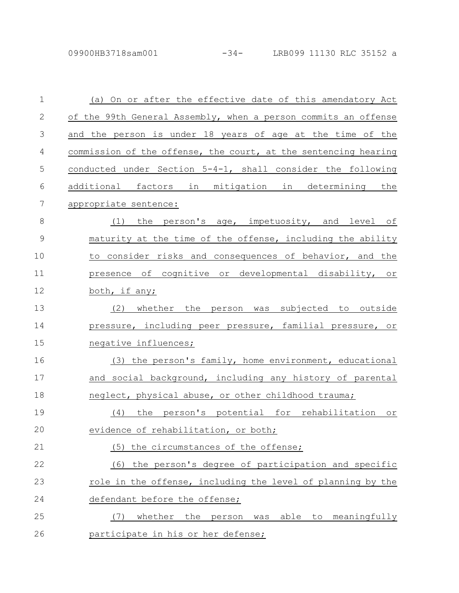09900HB3718sam001 -34- LRB099 11130 RLC 35152 a

| $\mathbf 1$    | (a) On or after the effective date of this amendatory Act         |
|----------------|-------------------------------------------------------------------|
| $\mathbf{2}$   | of the 99th General Assembly, when a person commits an offense    |
| 3              | and the person is under 18 years of age at the time of the        |
| $\overline{4}$ | commission of the offense, the court, at the sentencing hearing   |
| 5              | conducted under Section 5-4-1, shall consider the following       |
| 6              | additional factors in mitigation in determining the               |
| 7              | appropriate sentence:                                             |
| $8\,$          | (1) the person's age, impetuosity, and level of                   |
| $\mathcal{G}$  | maturity at the time of the offense, including the ability        |
| 10             | to consider risks and consequences of behavior, and the           |
| 11             | presence of cognitive or developmental disability, or             |
| 12             | both, if any;                                                     |
| 13             | (2) whether the person was subjected to outside                   |
| 14             | pressure, including peer pressure, familial pressure, or          |
| 15             | negative influences;                                              |
| 16             | (3) the person's family, home environment, educational            |
| 17             | and social background, including any history of parental          |
| 18             | neglect, physical abuse, or other childhood trauma;               |
| 19             | person's potential for rehabilitation or<br>(4)<br>the            |
| 20             | evidence of rehabilitation, or both;                              |
| 21             | (5) the circumstances of the offense;                             |
| 22             | the person's degree of participation and specific<br>(6)          |
| 23             | role in the offense, including the level of planning by the       |
| 24             | defendant before the offense;                                     |
| 25             | (7)<br>whether<br>the<br>to meaningfully<br>able<br>person<br>was |
| 26             | participate in his or her defense;                                |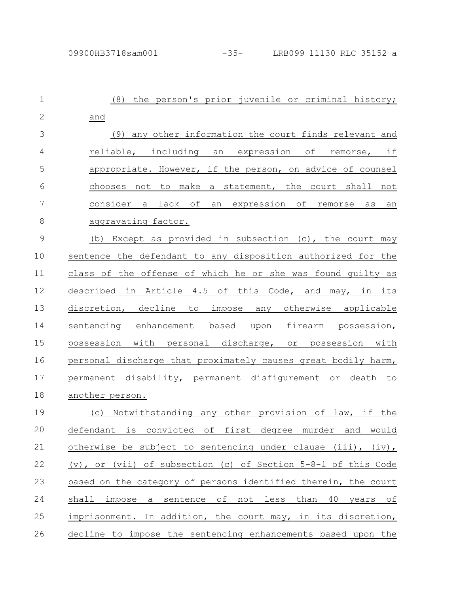| $\mathbf 1$   | the person's prior juvenile or criminal history;<br>(8)                         |
|---------------|---------------------------------------------------------------------------------|
| $\mathbf{2}$  | and                                                                             |
| 3             | (9) any other information the court finds relevant and                          |
| 4             | reliable, including an expression of remorse, if                                |
| 5             | appropriate. However, if the person, on advice of counsel                       |
| 6             | chooses not to make a statement, the court shall not                            |
| 7             | consider a lack of an expression of remorse as<br>an                            |
| $8\,$         | aggravating factor.                                                             |
| $\mathcal{G}$ | (b) Except as provided in subsection (c), the court may                         |
| 10            | sentence the defendant to any disposition authorized for the                    |
| 11            | class of the offense of which he or she was found guilty as                     |
| 12            | described in Article 4.5 of this Code, and may, in its                          |
| 13            | discretion, decline to impose any otherwise applicable                          |
| 14            | sentencing enhancement based upon firearm possession,                           |
| 15            | possession with personal discharge, or possession with                          |
| 16            | personal discharge that proximately causes great bodily harm,                   |
| 17            | permanent disability, permanent disfigurement or death to                       |
| 18            | another person.                                                                 |
| 19            | Notwithstanding any other provision of law, if the<br>(C)                       |
| 20            | defendant<br>convicted<br>оf<br>first<br>degree<br>murder<br>and<br>would<br>is |
| 21            | otherwise be subject to sentencing under clause (iii), (iv),                    |
| 22            | (v), or (vii) of subsection (c) of Section $5-8-1$ of this Code                 |
| 23            | based on the category of persons identified therein, the court                  |
| 24            | impose a sentence of not less<br>than 40 years of<br>shall                      |
| 25            | imprisonment. In addition, the court may, in its discretion,                    |
| 26            | decline to impose the sentencing enhancements based upon the                    |